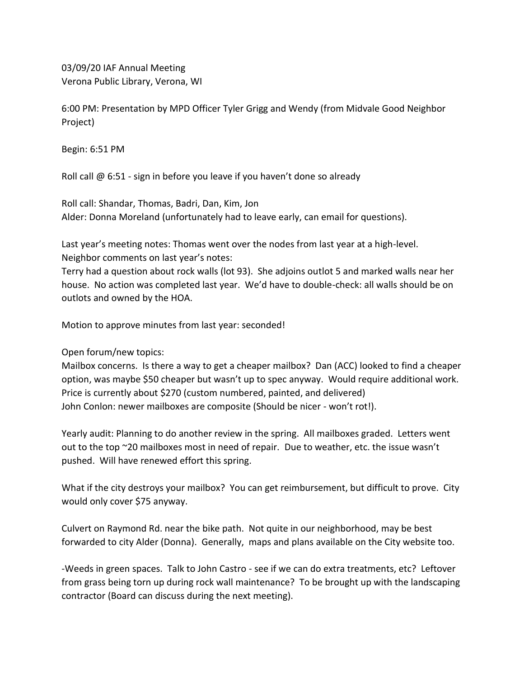03/09/20 IAF Annual Meeting Verona Public Library, Verona, WI

6:00 PM: Presentation by MPD Officer Tyler Grigg and Wendy (from Midvale Good Neighbor Project)

Begin: 6:51 PM

Roll call @ 6:51 - sign in before you leave if you haven't done so already

Roll call: Shandar, Thomas, Badri, Dan, Kim, Jon Alder: Donna Moreland (unfortunately had to leave early, can email for questions).

Last year's meeting notes: Thomas went over the nodes from last year at a high-level. Neighbor comments on last year's notes:

Terry had a question about rock walls (lot 93). She adjoins outlot 5 and marked walls near her house. No action was completed last year. We'd have to double-check: all walls should be on outlots and owned by the HOA.

Motion to approve minutes from last year: seconded!

Open forum/new topics:

Mailbox concerns. Is there a way to get a cheaper mailbox? Dan (ACC) looked to find a cheaper option, was maybe \$50 cheaper but wasn't up to spec anyway. Would require additional work. Price is currently about \$270 (custom numbered, painted, and delivered) John Conlon: newer mailboxes are composite (Should be nicer - won't rot!).

Yearly audit: Planning to do another review in the spring. All mailboxes graded. Letters went out to the top ~20 mailboxes most in need of repair. Due to weather, etc. the issue wasn't pushed. Will have renewed effort this spring.

What if the city destroys your mailbox? You can get reimbursement, but difficult to prove. City would only cover \$75 anyway.

Culvert on Raymond Rd. near the bike path. Not quite in our neighborhood, may be best forwarded to city Alder (Donna). Generally, maps and plans available on the City website too.

-Weeds in green spaces. Talk to John Castro - see if we can do extra treatments, etc? Leftover from grass being torn up during rock wall maintenance? To be brought up with the landscaping contractor (Board can discuss during the next meeting).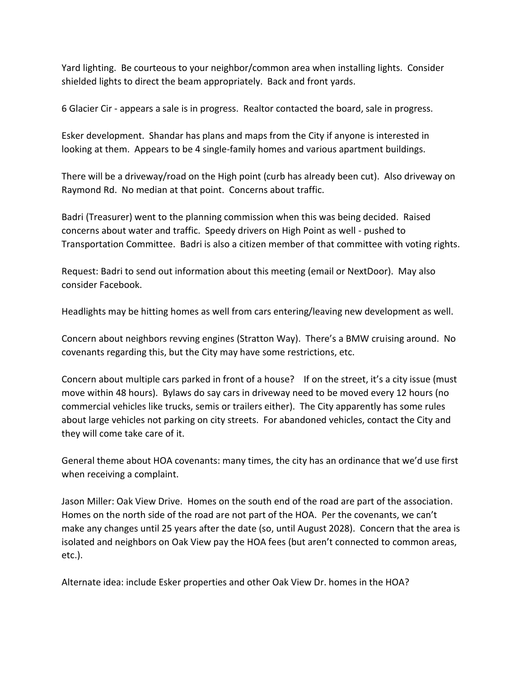Yard lighting. Be courteous to your neighbor/common area when installing lights. Consider shielded lights to direct the beam appropriately. Back and front yards.

6 Glacier Cir - appears a sale is in progress. Realtor contacted the board, sale in progress.

Esker development. Shandar has plans and maps from the City if anyone is interested in looking at them. Appears to be 4 single-family homes and various apartment buildings.

There will be a driveway/road on the High point (curb has already been cut). Also driveway on Raymond Rd. No median at that point. Concerns about traffic.

Badri (Treasurer) went to the planning commission when this was being decided. Raised concerns about water and traffic. Speedy drivers on High Point as well - pushed to Transportation Committee. Badri is also a citizen member of that committee with voting rights.

Request: Badri to send out information about this meeting (email or NextDoor). May also consider Facebook.

Headlights may be hitting homes as well from cars entering/leaving new development as well.

Concern about neighbors revving engines (Stratton Way). There's a BMW cruising around. No covenants regarding this, but the City may have some restrictions, etc.

Concern about multiple cars parked in front of a house? If on the street, it's a city issue (must move within 48 hours). Bylaws do say cars in driveway need to be moved every 12 hours (no commercial vehicles like trucks, semis or trailers either). The City apparently has some rules about large vehicles not parking on city streets. For abandoned vehicles, contact the City and they will come take care of it.

General theme about HOA covenants: many times, the city has an ordinance that we'd use first when receiving a complaint.

Jason Miller: Oak View Drive. Homes on the south end of the road are part of the association. Homes on the north side of the road are not part of the HOA. Per the covenants, we can't make any changes until 25 years after the date (so, until August 2028). Concern that the area is isolated and neighbors on Oak View pay the HOA fees (but aren't connected to common areas, etc.).

Alternate idea: include Esker properties and other Oak View Dr. homes in the HOA?